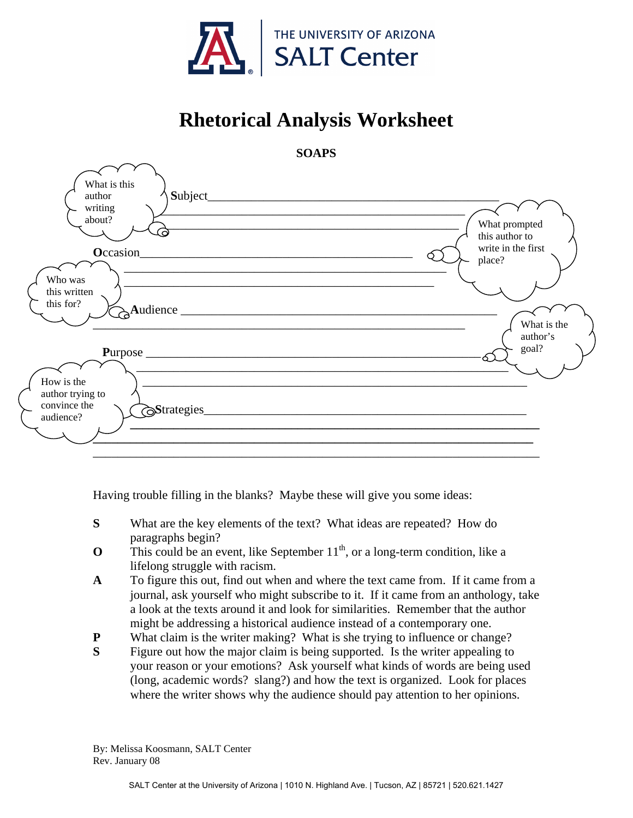

## **Rhetorical Analysis Worksheet**



Having trouble filling in the blanks? Maybe these will give you some ideas:

- **S** What are the key elements of the text? What ideas are repeated? How do paragraphs begin?
- **O** This could be an event, like September  $11<sup>th</sup>$ , or a long-term condition, like a lifelong struggle with racism.
- **A** To figure this out, find out when and where the text came from. If it came from a journal, ask yourself who might subscribe to it. If it came from an anthology, take a look at the texts around it and look for similarities. Remember that the author might be addressing a historical audience instead of a contemporary one.
- **P** What claim is the writer making? What is she trying to influence or change?
- **S** Figure out how the major claim is being supported. Is the writer appealing to your reason or your emotions? Ask yourself what kinds of words are being used (long, academic words? slang?) and how the text is organized. Look for places where the writer shows why the audience should pay attention to her opinions.

By: Melissa Koosmann, SALT Center Rev. January 08